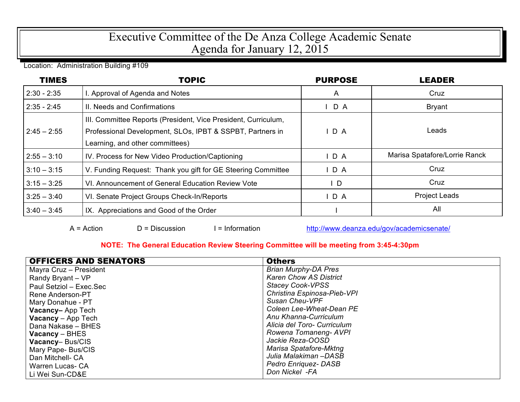## Executive Committee of the De Anza College Academic Senate Agenda for January 12, 2015

Location: Administration Building #109

| <b>TIMES</b>  | <b>TOPIC</b>                                                                                                                                                   | <b>PURPOSE</b> | LEADER                        |
|---------------|----------------------------------------------------------------------------------------------------------------------------------------------------------------|----------------|-------------------------------|
| $2:30 - 2:35$ | . Approval of Agenda and Notes                                                                                                                                 | $\mathsf{A}$   | Cruz                          |
| $2:35 - 2:45$ | II. Needs and Confirmations                                                                                                                                    | $I$ D A        | <b>Bryant</b>                 |
| $2:45 - 2:55$ | III. Committee Reports (President, Vice President, Curriculum,<br>Professional Development, SLOs, IPBT & SSPBT, Partners in<br>Learning, and other committees) | D A            | Leads                         |
| $2:55 - 3:10$ | IV. Process for New Video Production/Captioning                                                                                                                | $I$ D A        | Marisa Spatafore/Lorrie Ranck |
| $3:10 - 3:15$ | V. Funding Request: Thank you gift for GE Steering Committee                                                                                                   | IDA            | Cruz                          |
| $3:15 - 3:25$ | VI. Announcement of General Education Review Vote                                                                                                              | $\mathsf{L}$   | Cruz                          |
| $3:25 - 3:40$ | VI. Senate Project Groups Check-In/Reports                                                                                                                     | IDA            | <b>Project Leads</b>          |
| $3:40 - 3:45$ | IX. Appreciations and Good of the Order                                                                                                                        |                | All                           |

 $A = Action$   $D = Discussion$   $I = Information$  http://www.deanza.edu/gov/academicsenate/

## **NOTE: The General Education Review Steering Committee will be meeting from 3:45-4:30pm**

| <b>OFFICERS AND SENATORS</b> | <b>Others</b>                 |
|------------------------------|-------------------------------|
| Mayra Cruz - President       | <b>Brian Murphy-DA Pres</b>   |
| Randy Bryant - VP            | <b>Karen Chow AS District</b> |
| Paul Setziol - Exec.Sec      | <b>Stacey Cook-VPSS</b>       |
| Rene Anderson-PT             | Christina Espinosa-Pieb-VPI   |
| Mary Donahue - PT            | Susan Cheu-VPF                |
| Vacancy-App Tech             | Coleen Lee-Wheat-Dean PE      |
| <b>Vacancy</b> - App Tech    | Anu Khanna-Curriculum         |
| Dana Nakase - BHES           | Alicia del Toro- Curriculum   |
| $Vacancy - BHES$             | Rowena Tomaneng-AVPI          |
| Vacancy-Bus/CIS              | Jackie Reza-OOSD              |
| Mary Pape-Bus/CIS            | Marisa Spatafore-Mktng        |
| Dan Mitchell- CA             | Julia Malakiman –DASB         |
| Warren Lucas- CA             | <b>Pedro Enriquez-DASB</b>    |
| Li Wei Sun-CD&E              | Don Nickel -FA                |